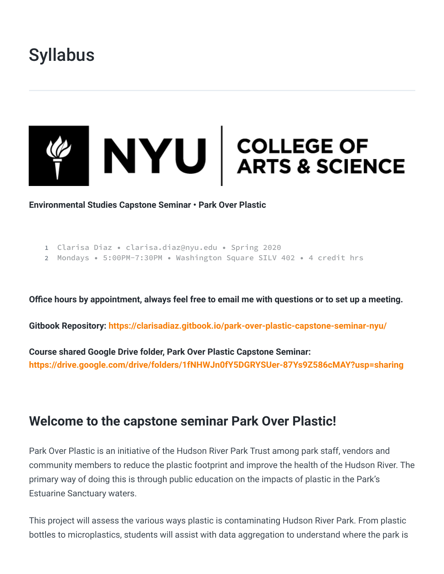# **Syllabus**



**Environmental Studies Capstone Seminar • Park Over Plastic**

```
1 Clarisa Diaz • clarisa.diaz@nyu.edu • Spring 2020
```

```
2 Mondays • 5:00PM-7:30PM • Washington Square SILV 402 • 4 credit hrs
```
**Office hours by appointment, always feel free to email me with questions or to set up a meeting.**

**Gitbook Repository: <https://clarisadiaz.gitbook.io/park-over-plastic-capstone-seminar-nyu/>**

**Course shared Google Drive folder, Park Over Plastic Capstone Seminar: <https://drive.google.com/drive/folders/1fNHWJn0fY5DGRYSUer-87Ys9Z586cMAY?usp=sharing>**

# **Welcome to the capstone seminar Park Over Plastic!**

Park Over Plastic is an initiative of the Hudson River Park Trust among park staff, vendors and community members to reduce the plastic footprint and improve the health of the Hudson River. The primary way of doing this is through public education on the impacts of plastic in the Park's Estuarine Sanctuary waters.

This project will assess the various ways plastic is contaminating Hudson River Park. From plastic bottles to microplastics, students will assist with data aggregation to understand where the park is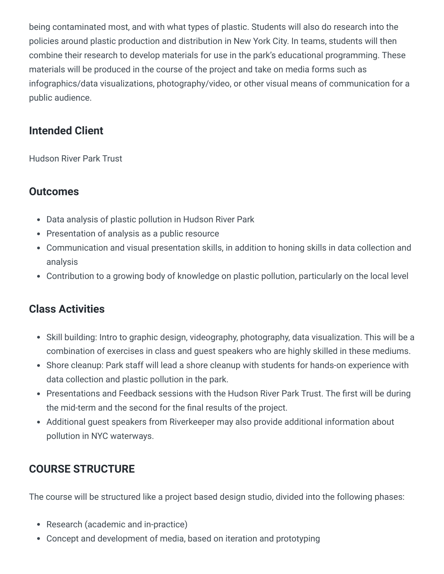being contaminated most, and with what types of plastic. Students will also do research into the policies around plastic production and distribution in New York City. In teams, students will then combine their research to develop materials for use in the park's educational programming. These materials will be produced in the course of the project and take on media forms such as infographics/data visualizations, photography/video, or other visual means of communication for a public audience.

# **Intended Client**

Hudson River Park Trust

# **Outcomes**

- Data analysis of plastic pollution in Hudson River Park
- Presentation of analysis as a public resource
- Communication and visual presentation skills, in addition to honing skills in data collection and analysis
- Contribution to a growing body of knowledge on plastic pollution, particularly on the local level

### **Class Activities**

- Skill building: Intro to graphic design, videography, photography, data visualization. This will be a combination of exercises in class and guest speakers who are highly skilled in these mediums.
- Shore cleanup: Park staff will lead a shore cleanup with students for hands-on experience with data collection and plastic pollution in the park.
- Presentations and Feedback sessions with the Hudson River Park Trust. The first will be during the mid-term and the second for the final results of the project.
- Additional guest speakers from Riverkeeper may also provide additional information about pollution in NYC waterways.

# **COURSE STRUCTURE**

The course will be structured like a project based design studio, divided into the following phases:

- Research (academic and in-practice)
- Concept and development of media, based on iteration and prototyping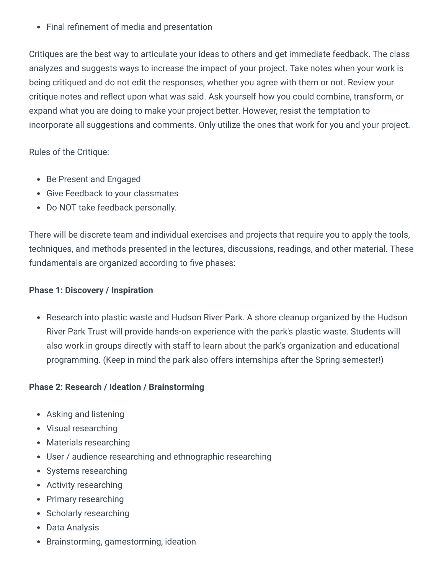Final refinement of media and presentation

Critiques are the best way to articulate your ideas to others and get immediate feedback. The class analyzes and suggests ways to increase the impact of your project. Take notes when your work is being critiqued and do not edit the responses, whether you agree with them or not. Review your critique notes and reflect upon what was said. Ask yourself how you could combine, transform, or expand what you are doing to make your project better. However, resist the temptation to incorporate all suggestions and comments. Only utilize the ones that work for you and your project.

Rules of the Critique:

- Be Present and Engaged
- Give Feedback to your classmates
- Do NOT take feedback personally.

There will be discrete team and individual exercises and projects that require you to apply the tools, techniques, and methods presented in the lectures, discussions, readings, and other material. These fundamentals are organized according to five phases:

#### **Phase 1: Discovery / Inspiration**

• Research into plastic waste and Hudson River Park. A shore cleanup organized by the Hudson River Park Trust will provide hands-on experience with the park's plastic waste. Students will also work in groups directly with staff to learn about the park's organization and educational programming. (Keep in mind the park also offers internships after the Spring semester!)

#### **Phase 2: Research / Ideation / Brainstorming**

- Asking and listening
- Visual researching
- Materials researching
- User / audience researching and ethnographic researching
- Systems researching
- Activity researching
- Primary researching
- Scholarly researching
- Data Analysis
- Brainstorming, gamestorming, ideation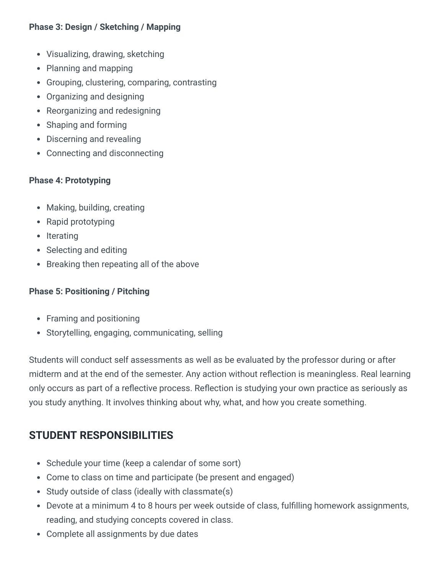#### **Phase 3: Design / Sketching / Mapping**

- Visualizing, drawing, sketching
- Planning and mapping
- Grouping, clustering, comparing, contrasting
- Organizing and designing
- Reorganizing and redesigning
- Shaping and forming
- Discerning and revealing
- Connecting and disconnecting

#### **Phase 4: Prototyping**

- Making, building, creating
- Rapid prototyping
- Iterating
- Selecting and editing
- Breaking then repeating all of the above

#### **Phase 5: Positioning / Pitching**

- Framing and positioning
- Storytelling, engaging, communicating, selling

Students will conduct self assessments as well as be evaluated by the professor during or after midterm and at the end of the semester. Any action without reflection is meaningless. Real learning only occurs as part of a reflective process. Reflection is studying your own practice as seriously as you study anything. It involves thinking about why, what, and how you create something.

# **STUDENT RESPONSIBILITIES**

- Schedule your time (keep a calendar of some sort)
- Come to class on time and participate (be present and engaged)
- Study outside of class (ideally with classmate(s)
- Devote at a minimum 4 to 8 hours per week outside of class, fulfilling homework assignments, reading, and studying concepts covered in class.
- Complete all assignments by due dates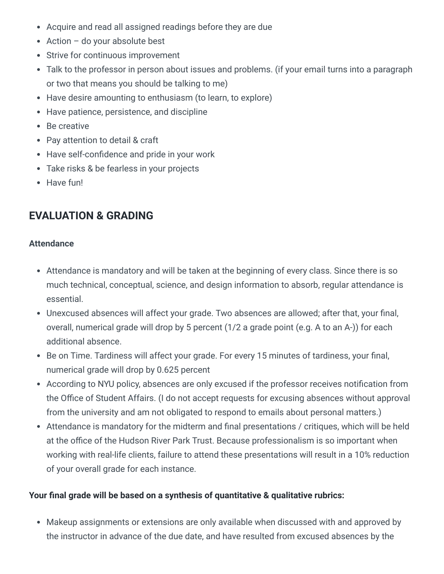- Acquire and read all assigned readings before they are due
- Action do your absolute best
- Strive for continuous improvement
- Talk to the professor in person about issues and problems. (if your email turns into a paragraph or two that means you should be talking to me)
- Have desire amounting to enthusiasm (to learn, to explore)
- Have patience, persistence, and discipline
- Be creative
- Pay attention to detail & craft
- Have self-confidence and pride in your work
- Take risks & be fearless in your projects
- Have fun!

# **EVALUATION & GRADING**

#### **Attendance**

- Attendance is mandatory and will be taken at the beginning of every class. Since there is so much technical, conceptual, science, and design information to absorb, regular attendance is essential.
- Unexcused absences will affect your grade. Two absences are allowed; after that, your final, overall, numerical grade will drop by 5 percent (1/2 a grade point (e.g. A to an A-)) for each additional absence.
- Be on Time. Tardiness will affect your grade. For every 15 minutes of tardiness, your final, numerical grade will drop by 0.625 percent
- According to NYU policy, absences are only excused if the professor receives notification from the Office of Student Affairs. (I do not accept requests for excusing absences without approval from the university and am not obligated to respond to emails about personal matters.)
- Attendance is mandatory for the midterm and final presentations / critiques, which will be held at the office of the Hudson River Park Trust. Because professionalism is so important when working with real-life clients, failure to attend these presentations will result in a 10% reduction of your overall grade for each instance.

#### **Your final grade will be based on a synthesis of quantitative & qualitative rubrics:**

Makeup assignments or extensions are only available when discussed with and approved by the instructor in advance of the due date, and have resulted from excused absences by the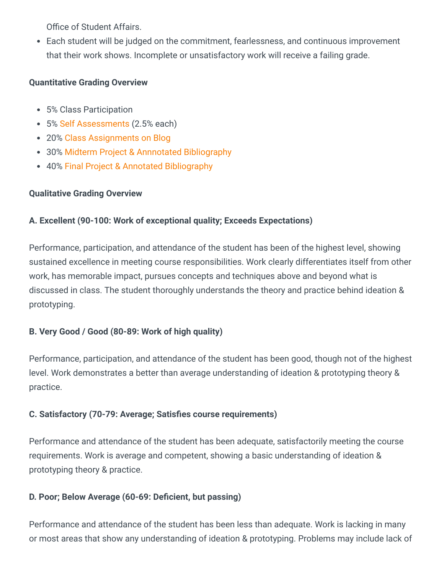Office of Student Affairs.

Each student will be judged on the commitment, fearlessness, and continuous improvement that their work shows. Incomplete or unsatisfactory work will receive a failing grade.

#### **Quantitative Grading Overview**

- 5% Class Participation
- 5% [Self Assessments](https://clarisadiaz.gitbook.io/park-over-plastic-capstone-seminar-nyu/assignments/self-assessments) (2.5% each)
- 20% [Class Assignments on Blog](https://clarisadiaz.gitbook.io/park-over-plastic-capstone-seminar-nyu/assignments)
- 30% [Midterm Project & Annnotated Bibliography](https://clarisadiaz.gitbook.io/park-over-plastic-capstone-seminar-nyu/projects/midterm-project)
- 40% [Final Project & Annotated Bibliography](https://clarisadiaz.gitbook.io/park-over-plastic-capstone-seminar-nyu/projects/final-project)

### **Qualitative Grading Overview**

### **A. Excellent (90-100: Work of exceptional quality; Exceeds Expectations)**

Performance, participation, and attendance of the student has been of the highest level, showing sustained excellence in meeting course responsibilities. Work clearly differentiates itself from other work, has memorable impact, pursues concepts and techniques above and beyond what is discussed in class. The student thoroughly understands the theory and practice behind ideation & prototyping.

### **B. Very Good / Good (80-89: Work of high quality)**

Performance, participation, and attendance of the student has been good, though not of the highest level. Work demonstrates a better than average understanding of ideation & prototyping theory & practice.

### **C. Satisfactory (70-79: Average; Satisfies course requirements)**

Performance and attendance of the student has been adequate, satisfactorily meeting the course requirements. Work is average and competent, showing a basic understanding of ideation & prototyping theory & practice.

### **D. Poor; Below Average (60-69: Deficient, but passing)**

Performance and attendance of the student has been less than adequate. Work is lacking in many or most areas that show any understanding of ideation & prototyping. Problems may include lack of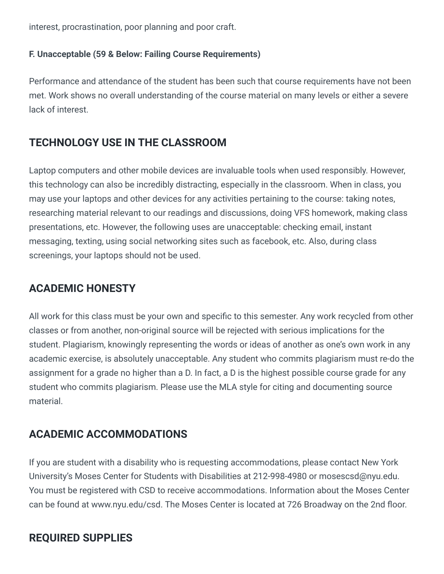interest, procrastination, poor planning and poor craft.

#### **F. Unacceptable (59 & Below: Failing Course Requirements)**

Performance and attendance of the student has been such that course requirements have not been met. Work shows no overall understanding of the course material on many levels or either a severe lack of interest.

# **TECHNOLOGY USE IN THE CLASSROOM**

Laptop computers and other mobile devices are invaluable tools when used responsibly. However, this technology can also be incredibly distracting, especially in the classroom. When in class, you may use your laptops and other devices for any activities pertaining to the course: taking notes, researching material relevant to our readings and discussions, doing VFS homework, making class presentations, etc. However, the following uses are unacceptable: checking email, instant messaging, texting, using social networking sites such as facebook, etc. Also, during class screenings, your laptops should not be used.

### **ACADEMIC HONESTY**

All work for this class must be your own and specific to this semester. Any work recycled from other classes or from another, non-original source will be rejected with serious implications for the student. Plagiarism, knowingly representing the words or ideas of another as one's own work in any academic exercise, is absolutely unacceptable. Any student who commits plagiarism must re-do the assignment for a grade no higher than a D. In fact, a D is the highest possible course grade for any student who commits plagiarism. Please use the MLA style for citing and documenting source material.

### **ACADEMIC ACCOMMODATIONS**

If you are student with a disability who is requesting accommodations, please contact New York University's Moses Center for Students with Disabilities at 212-998-4980 or mosescsd@nyu.edu. You must be registered with CSD to receive accommodations. Information about the Moses Center can be found at www.nyu.edu/csd. The Moses Center is located at 726 Broadway on the 2nd floor.

# **REQUIRED SUPPLIES**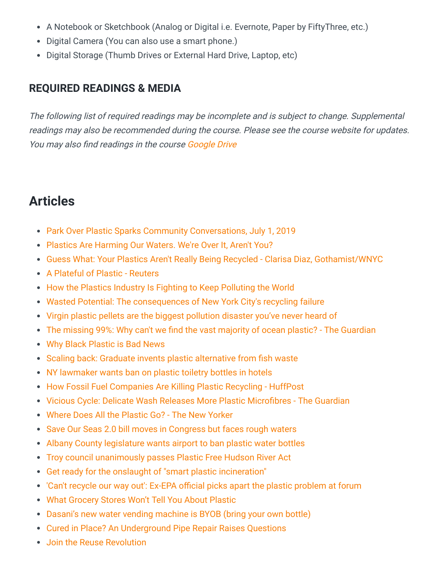- A Notebook or Sketchbook (Analog or Digital i.e. Evernote, Paper by FiftyThree, etc.)
- Digital Camera (You can also use a smart phone.)
- Digital Storage (Thumb Drives or External Hard Drive, Laptop, etc)

# **REQUIRED READINGS & MEDIA**

The following list of required readings may be incomplete and is subject to change. Supplemental readings may also be recommended during the course. Please see the course website for updates. You may also find readings in the course [Google Drive](https://drive.google.com/drive/folders/1fNHWJn0fY5DGRYSUer-87Ys9Z586cMAY?usp=sharing)

# **Articles**

- [Park Over Plastic Sparks Community Conversations, July 1, 2019](https://hudsonriverpark.org/news-and-updates/park-over-plastic-sparks-community-conversations)
- [Plastics Are Harming Our Waters. We're Over It, Aren't You?](https://hudsonriverpark.org/sustainability/park-over-plastic)
- [Guess What: Your Plastics Aren't Really Being Recycled Clarisa Diaz, Gothamist/WNYC](https://gothamist.com/news/how-your-plastics-arent-getting-recycled)
- [A Plateful of Plastic Reuters](https://graphics.reuters.com/ENVIRONMENT-PLASTIC/0100B4TF2MQ/index.html)
- [How the Plastics Industry Is Fighting to Keep Polluting the World](https://theintercept.com/2019/07/20/plastics-industry-plastic-recycling/)
- [Wasted Potential: The consequences of New York City's recycling failure](https://www.politico.com/states/new-york/albany/story/2020/01/05/wasted-potential-the-consequences-of-new-york-citys-recycling-failure-1243578)
- [Virgin plastic pellets are the biggest pollution disaster you've never heard of](https://qz.com/1689529/nurdles-are-the-biggest-pollution-disaster-youve-never-heard-of/)
- [The missing 99%: Why can't we find the vast majority of ocean plastic? The Guardian](https://www.theguardian.com/us-news/2019/dec/31/ocean-plastic-we-cant-see)
- [Why Black Plastic is Bad News](https://beyondplastics.org/article/why-black-plastic-is-bad-news/)
- [Scaling back: Graduate invents plastic alternative from fish waste](https://www.theguardian.com/world/2019/sep/19/scaling-back-graduate-invents-plastic-alternative-from-fish-waste)
- [NY lawmaker wants ban on plastic toiletry bottles in hotels](https://www.reviewjournal.com/news/politics-and-government/ny-lawmaker-wants-ban-on-plastic-toiletry-bottles-in-hotels-1851037/)
- [How Fossil Fuel Companies Are Killing Plastic Recycling HuffPost](https://www.huffpost.com/entry/plastic-recycling-oil-companies-landfill_n_5d8e4916e4b0e9e7604c832e?72q&guccounter=1&guce_referrer=aHR0cHM6Ly9iZXlvbmRwbGFzdGljcy5vcmcvbGVhcm4v&guce_referrer_sig=AQAAAEyRHhoeDmHRU-8hy4Oz22hWVonw_4naSjSd3Uh_wb5et05iHFd0aTgoo7IZu4TLXxhp5cWVk7Pal7bcvQIZ93Wwp-Ig5--gKVN0uHy8NkeEW4dCrD-SkGIX7lEgr0IqldRuckctWZ_8lJ3co4v3ZS-duSEVhkGCvvhl-hXK5nbu)
- [Vicious Cycle: Delicate Wash Releases More Plastic Microfibres The Guardian](https://www.theguardian.com/environment/2019/sep/26/vicious-cycle-delicate-wash-releases-more-plastic-microfibres)
- [Where Does All the Plastic Go? The New Yorker](https://www.newyorker.com/news/news-desk/where-does-all-the-plastic-go)
- [Save Our Seas 2.0 bill moves in Congress but faces rough waters](https://www.plasticsnews.com/news/save-our-seas-20-bill-moves-congress-faces-rough-waters)
- [Albany County legislature wants airport to ban plastic water bottles](https://beyondplastics.org/article/albany-county-legislature-wants-airport-to-ban-plastic-water-bottles/)
- [Troy council unanimously passes Plastic Free Hudson River Act](https://www.troyrecord.com/news/local-news/troy-council-unanimously-passes-plastic-free-hudson-river-act/article_40b0c0b0-d0d2-11e9-99bc-cffefce4f73c.html)
- [Get ready for the onslaught of "smart plastic incineration"](https://www.treehugger.com/plastic/get-ready-onslaught-smart-plastic-incineration.html)
- ['Can't recycle our way out': Ex-EPA official picks apart the plastic problem at forum](https://www.berkshireeagle.com/stories/cant-recycle-our-way-out-ex-epa-officials-picks-apart-the-plastic-problem-at-forum,582568)
- [What Grocery Stores Won't Tell You About Plastic](https://www.huffpost.com/entry/grocery-stores-plastic-walmart_n_5d3f68f3e4b0d24cde046f4a)
- [Dasani's new water vending machine is BYOB \(bring your own bottle\)](https://www.fastcompany.com/90388913/dasanis-new-water-vending-machine-is-byob-bring-your-own-bottle)
- [Cured in Place? An Underground Pipe Repair Raises Questions](https://undark.org/2019/04/22/cured-in-place-plastic-pipes-cipp/)
- [Join the Reuse Revolution](https://beyondplastics.org/article/join-the-reuse-revolution/)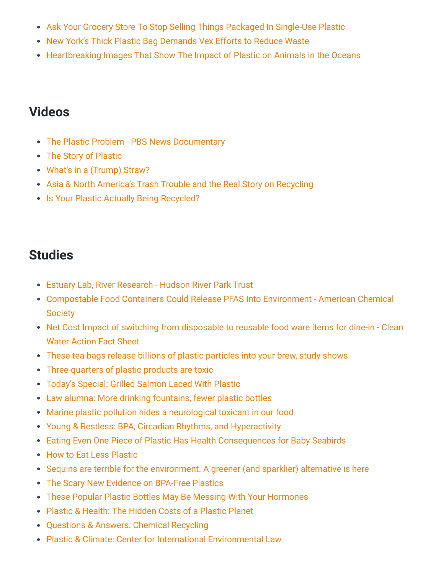- [Ask Your Grocery Store To Stop Selling Things Packaged In Single-Use Plastic](https://beyondplastics.org/article/ask-your-grocery-store-to-stop-selling-things-packaged-in-single-use-plastic/)
- [New York's Thick Plastic Bag Demands Vex Efforts to Reduce Waste](https://news.bloomberglaw.com/environment-and-energy/new-yorks-thick-plastic-bag-demands-vex-efforts-to-reduce-waste)
- [Heartbreaking Images That Show The Impact of Plastic on Animals in the Oceans](https://www.newsweek.com/heartbreaking-images-plastic-pollution-ocean-1459494)

# **Videos**

- [The Plastic Problem PBS News Documentary](https://www.youtube.com/watch?v=1RDc2opwg0I)
- [The Story of Plastic](https://www.storyofplastic.org/watch)
- [What's in a \(Trump\) Straw?](https://theintercept.com/2019/09/15/trump-straws-plastic/)
- [Asia & North America's Trash Trouble and the Real Story on Recycling](https://www.facebook.com/watch/?ref=external&v=2349881851756539)
- [Is Your Plastic Actually Being Recycled?](https://www.youtube.com/watch?v=zVBkjMbF4Z4)

# **Studies**

- [Estuary Lab, River Research Hudson River Park Trust](https://hudsonriverpark.org/Estuary-Lab/River-Research)
- [Compostable Food Containers Could Release PFAS Into Environment American Chemical](https://www.eurekalert.org/pub_releases/2019-05/acs-cfc052419.php#) **Society**
- [Net Cost Impact of switching from disposable to reusable food ware items for dine-in Clean](https://beyondplastics.org/wp-content/uploads/2019/10/Reusables_Business_Savings_Case_Studies.pdf) Water Action Fact Sheet
- [These tea bags release billions of plastic particles into your brew, study shows](https://www.washingtonpost.com/climate-environment/2019/09/27/these-tea-bags-release-billions-plastic-particles-into-your-brew-study-shows/)
- [Three-quarters of plastic products are toxic](https://www.fastcompany.com/90405360/three-quarters-of-plastic-products-are-toxic)
- [Today's Special: Grilled Salmon Laced With Plastic](https://www.motherjones.com/environment/2019/09/todays-special-grilled-salmon-laced-with-plastic-flesh/)
- [Law alumna: More drinking fountains, fewer plastic bottles](https://law.tulane.edu/news/law-alumna-more-drinking-fountains-fewer-plastic-bottles)
- [Marine plastic pollution hides a neurological toxicant in our food](https://phys.org/news/2019-09-marine-plastic-pollution-neurological-toxin.html)
- [Young & Restless: BPA, Circadian Rhythms, and Hyperactivity](https://endocrinenews.endocrine.org/young-restless-bpa-circadian-rhythms-and-hyperactivity/)
- [Eating Even One Piece of Plastic Has Health Consequences for Baby Seabirds](https://www.smithsonianmag.com/smart-news/eating-even-one-piece-plastic-has-health-consequences-seabird-chicks-180972809/)
- [How to Eat Less Plastic](https://www.consumerreports.org/food/how-to-eat-less-plastic-microplastics-in-food-water/)
- [Sequins are terrible for the environment. A greener \(and sparklier\) alternative is here](https://www.fastcompany.com/90387099/sequins-are-terrible-for-the-environment-a-greener-and-sparklier-alternative-is-here)
- [The Scary New Evidence on BPA-Free Plastics](https://www.motherjones.com/environment/2014/03/tritan-certichem-eastman-bpa-free-plastic-safe/)
- [These Popular Plastic Bottles May Be Messing With Your Hormones](https://www.motherjones.com/environment/2014/06/bpa-free-plastics-tritan-nalgene-dangerous/)
- [Plastic & Health: The Hidden Costs of a Plastic Planet](https://beyondplastics.org/wp-content/uploads/2019/06/Plastic-and-Health-The-Hidden-Costs-of-a-Plastic-Planet-February-2019.pdf)
- [Questions & Answers: Chemical Recycling](https://www.no-burn.org/wp-content/uploads/Questions-and-Answers_Chemical-Recycling.pdf)
- [Plastic & Climate: Center for International Environmental Law](https://www.ciel.org/plasticandclimate/)